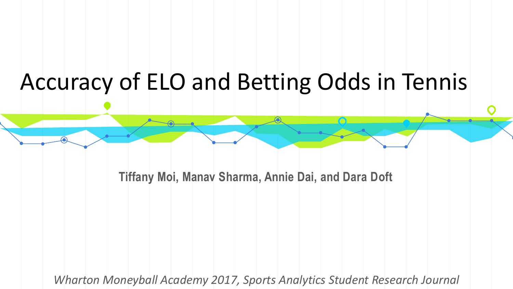### Accuracy of ELO and Betting Odds in Tennis

**Tiffany Moi, Manav Sharma, Annie Dai, and Dara Doft**

*Wharton Moneyball Academy 2017, Sports Analytics Student Research Journal*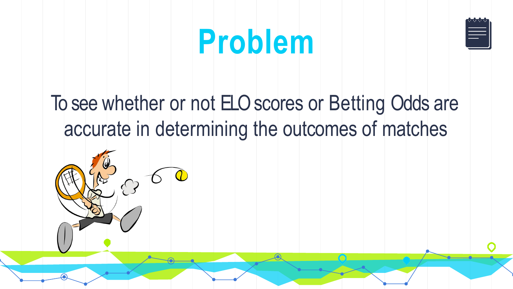

## **Problem**

### To see whether or not ELO scores or Betting Odds are accurate in determining the outcomes of matches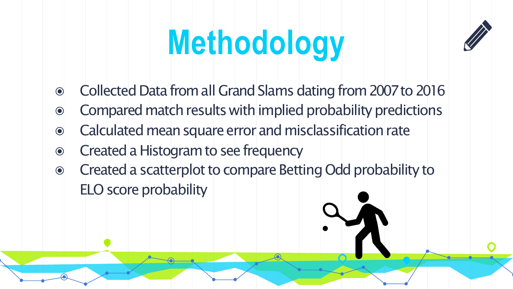# **Methodology**



- ◉ CollectedDatafromall GrandSlamsdatingfrom2007to2016
- Compared match results with implied probability predictions
- ◉ Calculatedmeansquareerrorandmisclassificationrate
- **◎** Created a Histogram to see frequency
- Created a scatterplot to compare Betting Odd probability to ELO score probability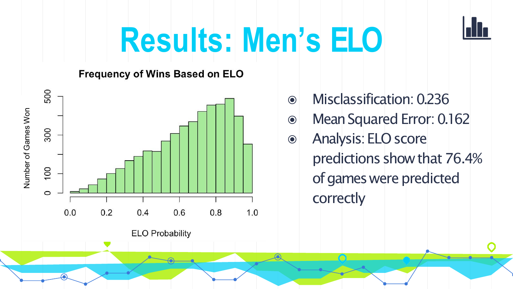

# **Results: Men's ELO**

#### **Frequency of Wins Based on ELO**



**ELO Probability** 

- ◉ Misclassification:0.236
- ◉ MeanSquaredError:0.162
- ◉ Analysis:ELOscore predictions show that 76.4% of games were predicted correctly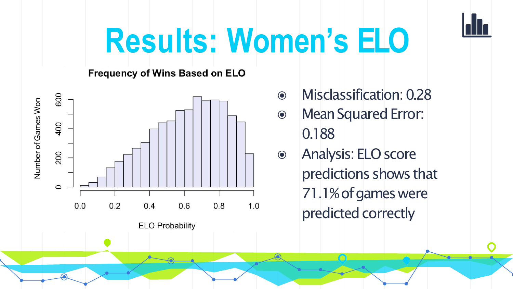

# **Results: Women's ELO**

**Frequency of Wins Based on ELO** 



- **Misclassification: 0.28**  $\odot$
- **Mean Squared Error:**  $\odot$ 0.188
- Analysis: ELO score  $\odot$ predictions shows that 71.1% of games were predicted correctly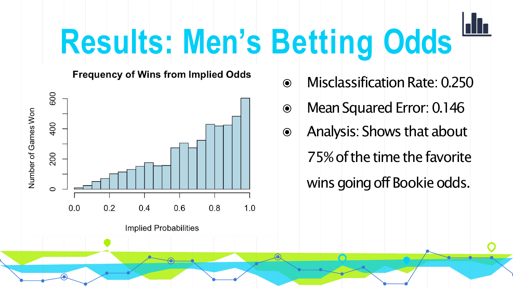# **Results: Men's Betting Odds**

**Frequency of Wins from Implied Odds** 



**Implied Probabilities** 

- ◉ MisclassificationRate:0.250
- ◉ MeanSquaredError:0.146
- ◉ Analysis:Shows that about 75% of the time the favorite wins going off Bookie odds.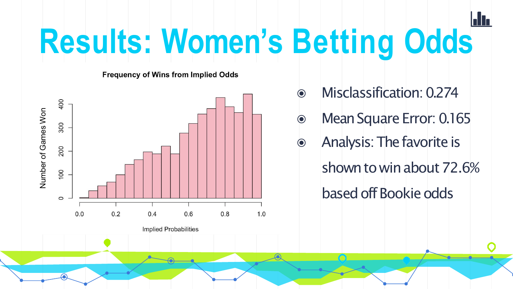# **Results: Women's Betting Odds**

**Frequency of Wins from Implied Odds** 



**Implied Probabilities** 

- ◉ Misclassification:0.274
- ◉ MeanSquare Error:0.165
- ◉ Analysis:Thefavorite is
	- shown to win about 72.6% based off Bookie odds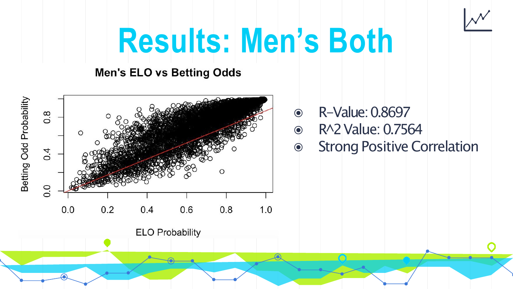

## **Results: Men's Both**

#### **Men's ELO vs Betting Odds**



- ◉ R-Value:0.8697
- ◉ R^2Value:0.7564
- Strong Positive Correlation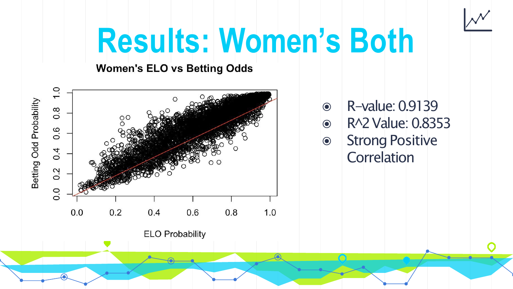

### **Results: Women's Both**

#### **Women's ELO vs Betting Odds**

**ELO Probability** 



- ◉ R-value:0.9139
- ◉ R^2Value:0.8353
- ◉ StrongPositive **Correlation**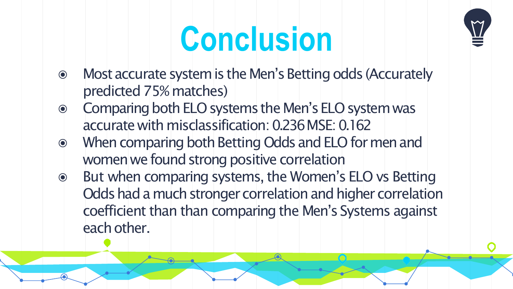



- Most accurate system is the Men's Betting odds (Accurately  $\odot$ predicted 75% matches)
- Comparing both ELO systems the Men's ELO system was  $\odot$ accurate with misclassification: 0.236 MSE: 0.162
- When comparing both Betting Odds and ELO for men and  $\odot$ women we found strong positive correlation
- But when comparing systems, the Women's ELO vs Betting  $\odot$ Odds had a much stronger correlation and higher correlation coefficient than than comparing the Men's Systems against each other.